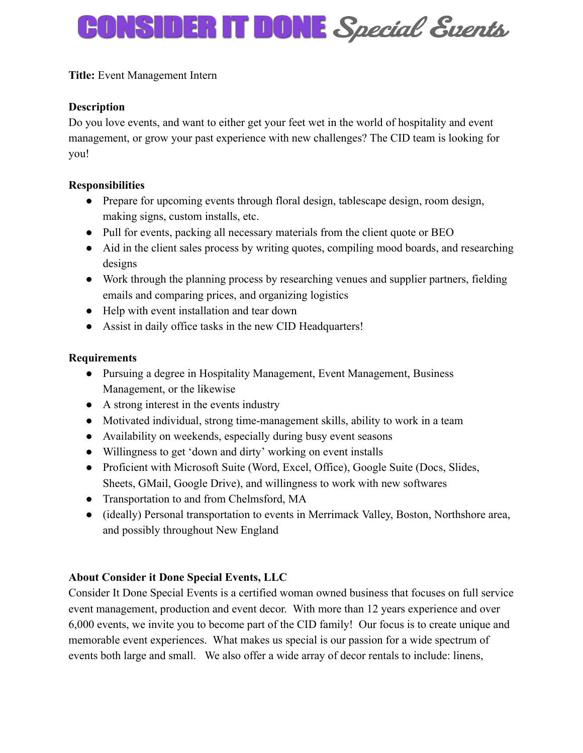# **CONSIDER IT DONE** Special Events

**Title:** Event Management Intern

# **Description**

Do you love events, and want to either get your feet wet in the world of hospitality and event management, or grow your past experience with new challenges? The CID team is looking for you!

#### **Responsibilities**

- Prepare for upcoming events through floral design, tablescape design, room design, making signs, custom installs, etc.
- Pull for events, packing all necessary materials from the client quote or BEO
- Aid in the client sales process by writing quotes, compiling mood boards, and researching designs
- Work through the planning process by researching venues and supplier partners, fielding emails and comparing prices, and organizing logistics
- Help with event installation and tear down
- Assist in daily office tasks in the new CID Headquarters!

#### **Requirements**

- Pursuing a degree in Hospitality Management, Event Management, Business Management, or the likewise
- A strong interest in the events industry
- Motivated individual, strong time-management skills, ability to work in a team
- Availability on weekends, especially during busy event seasons
- Willingness to get 'down and dirty' working on event installs
- Proficient with Microsoft Suite (Word, Excel, Office), Google Suite (Docs, Slides, Sheets, GMail, Google Drive), and willingness to work with new softwares
- Transportation to and from Chelmsford, MA
- (ideally) Personal transportation to events in Merrimack Valley, Boston, Northshore area, and possibly throughout New England

# **About Consider it Done Special Events, LLC**

Consider It Done Special Events is a certified woman owned business that focuses on full service event management, production and event decor. With more than 12 years experience and over 6,000 events, we invite you to become part of the CID family! Our focus is to create unique and memorable event experiences. What makes us special is our passion for a wide spectrum of events both large and small. We also offer a wide array of decor rentals to include: linens,